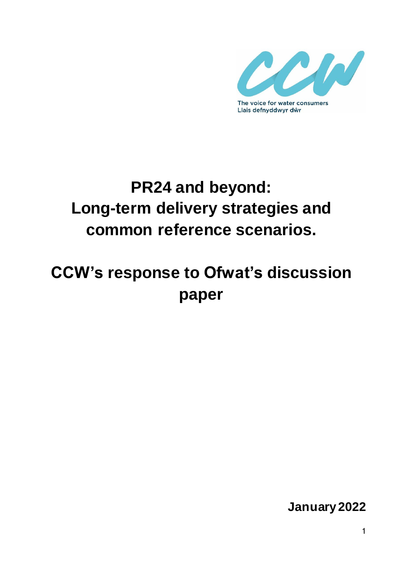

# **PR24 and beyond: Long-term delivery strategies and common reference scenarios.**

# **CCW's response to Ofwat's discussion paper**

**January 2022**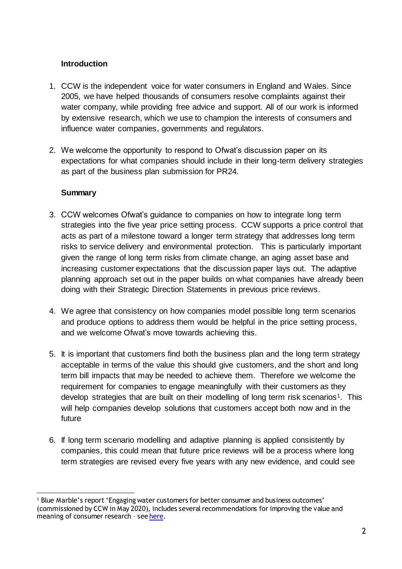## **Introduction**

- 1. CCW is the independent voice for water consumers in England and Wales. Since 2005, we have helped thousands of consumers resolve complaints against their water company, while providing free advice and support. All of our work is informed by extensive research, which we use to champion the interests of consumers and influence water companies, governments and regulators.
- 2. We welcome the opportunity to respond to Ofwat's discussion paper on its expectations for what companies should include in their long-term delivery strategies as part of the business plan submission for PR24.

### **Summary**

l

- 3. CCW welcomes Ofwat's guidance to companies on how to integrate long term strategies into the five year price setting process. CCW supports a price control that acts as part of a milestone toward a longer term strategy that addresses long term risks to service delivery and environmental protection. This is particularly important given the range of long term risks from climate change, an aging asset base and increasing customer expectations that the discussion paper lays out. The adaptive planning approach set out in the paper builds on what companies have already been doing with their Strategic Direction Statements in previous price reviews.
- 4. We agree that consistency on how companies model possible long term scenarios and produce options to address them would be helpful in the price setting process, and we welcome Ofwat's move towards achieving this.
- 5. It is important that customers find both the business plan and the long term strategy acceptable in terms of the value this should give customers, and the short and long term bill impacts that may be needed to achieve them. Therefore we welcome the requirement for companies to engage meaningfully with their customers as they develop strategies that are built on their modelling of long term risk scenarios<sup>1</sup>. This will help companies develop solutions that customers accept both now and in the future
- 6. If long term scenario modelling and adaptive planning is applied consistently by companies, this could mean that future price reviews will be a process where long term strategies are revised every five years with any new evidence, and could see

<sup>1</sup> Blue Marble's report 'Engaging water customers for better consumer and business outcomes' (commissioned by CCW in May 2020), includes several recommendations for improving the value and meaning of consumer research - se[e here](https://www.ccwater.org.uk/research/engaging-water-customers-for-better-consumer-and-business-outcomes/).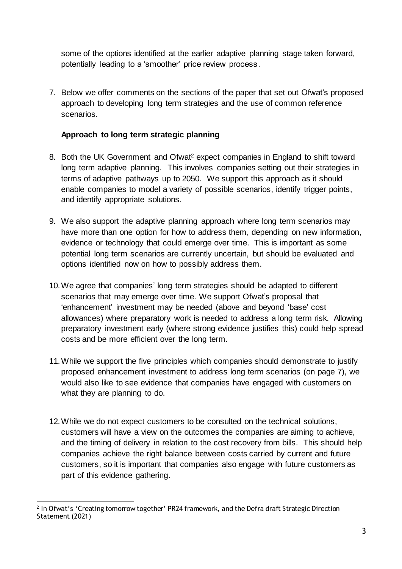some of the options identified at the earlier adaptive planning stage taken forward, potentially leading to a 'smoother' price review process.

7. Below we offer comments on the sections of the paper that set out Ofwat's proposed approach to developing long term strategies and the use of common reference scenarios.

## **Approach to long term strategic planning**

- 8. Both the UK Government and Ofwat <sup>2</sup> expect companies in England to shift toward long term adaptive planning. This involves companies setting out their strategies in terms of adaptive pathways up to 2050. We support this approach as it should enable companies to model a variety of possible scenarios, identify trigger points, and identify appropriate solutions.
- 9. We also support the adaptive planning approach where long term scenarios may have more than one option for how to address them, depending on new information, evidence or technology that could emerge over time. This is important as some potential long term scenarios are currently uncertain, but should be evaluated and options identified now on how to possibly address them.
- 10.We agree that companies' long term strategies should be adapted to different scenarios that may emerge over time. We support Ofwat's proposal that 'enhancement' investment may be needed (above and beyond 'base' cost allowances) where preparatory work is needed to address a long term risk. Allowing preparatory investment early (where strong evidence justifies this) could help spread costs and be more efficient over the long term.
- 11.While we support the five principles which companies should demonstrate to justify proposed enhancement investment to address long term scenarios (on page 7), we would also like to see evidence that companies have engaged with customers on what they are planning to do.
- 12.While we do not expect customers to be consulted on the technical solutions, customers will have a view on the outcomes the companies are aiming to achieve, and the timing of delivery in relation to the cost recovery from bills. This should help companies achieve the right balance between costs carried by current and future customers, so it is important that companies also engage with future customers as part of this evidence gathering.

l 2 In Ofwat's 'Creating tomorrow together' PR24 framework, and the Defra draft Strategic Direction Statement (2021)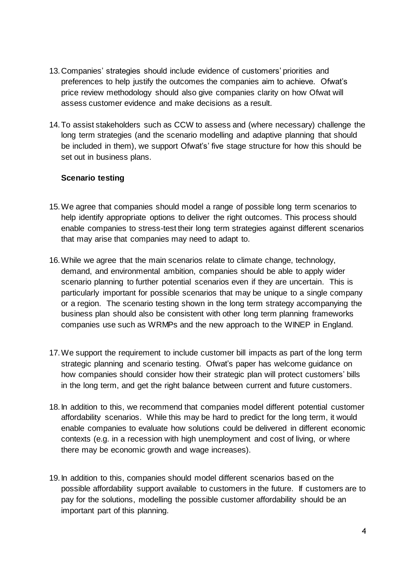- 13.Companies' strategies should include evidence of customers' priorities and preferences to help justify the outcomes the companies aim to achieve. Ofwat's price review methodology should also give companies clarity on how Ofwat will assess customer evidence and make decisions as a result.
- 14.To assist stakeholders such as CCW to assess and (where necessary) challenge the long term strategies (and the scenario modelling and adaptive planning that should be included in them), we support Ofwat's' five stage structure for how this should be set out in business plans.

### **Scenario testing**

- 15.We agree that companies should model a range of possible long term scenarios to help identify appropriate options to deliver the right outcomes. This process should enable companies to stress-test their long term strategies against different scenarios that may arise that companies may need to adapt to.
- 16.While we agree that the main scenarios relate to climate change, technology, demand, and environmental ambition, companies should be able to apply wider scenario planning to further potential scenarios even if they are uncertain. This is particularly important for possible scenarios that may be unique to a single company or a region. The scenario testing shown in the long term strategy accompanying the business plan should also be consistent with other long term planning frameworks companies use such as WRMPs and the new approach to the WINEP in England.
- 17.We support the requirement to include customer bill impacts as part of the long term strategic planning and scenario testing. Ofwat's paper has welcome guidance on how companies should consider how their strategic plan will protect customers' bills in the long term, and get the right balance between current and future customers.
- 18.In addition to this, we recommend that companies model different potential customer affordability scenarios. While this may be hard to predict for the long term, it would enable companies to evaluate how solutions could be delivered in different economic contexts (e.g. in a recession with high unemployment and cost of living, or where there may be economic growth and wage increases).
- 19.In addition to this, companies should model different scenarios based on the possible affordability support available to customers in the future. If customers are to pay for the solutions, modelling the possible customer affordability should be an important part of this planning.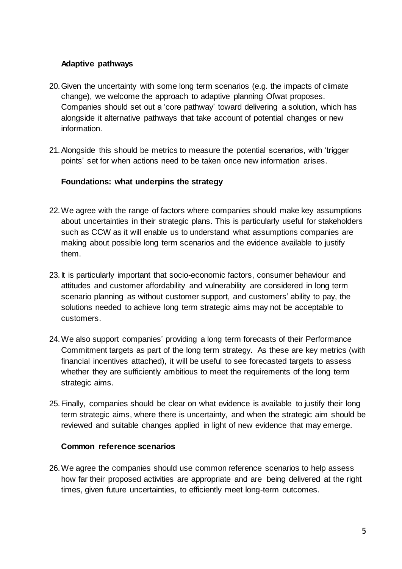#### **Adaptive pathways**

- 20.Given the uncertainty with some long term scenarios (e.g. the impacts of climate change), we welcome the approach to adaptive planning Ofwat proposes. Companies should set out a 'core pathway' toward delivering a solution, which has alongside it alternative pathways that take account of potential changes or new information.
- 21.Alongside this should be metrics to measure the potential scenarios, with 'trigger points' set for when actions need to be taken once new information arises.

#### **Foundations: what underpins the strategy**

- 22.We agree with the range of factors where companies should make key assumptions about uncertainties in their strategic plans. This is particularly useful for stakeholders such as CCW as it will enable us to understand what assumptions companies are making about possible long term scenarios and the evidence available to justify them.
- 23.It is particularly important that socio-economic factors, consumer behaviour and attitudes and customer affordability and vulnerability are considered in long term scenario planning as without customer support, and customers' ability to pay, the solutions needed to achieve long term strategic aims may not be acceptable to customers.
- 24.We also support companies' providing a long term forecasts of their Performance Commitment targets as part of the long term strategy. As these are key metrics (with financial incentives attached), it will be useful to see forecasted targets to assess whether they are sufficiently ambitious to meet the requirements of the long term strategic aims.
- 25.Finally, companies should be clear on what evidence is available to justify their long term strategic aims, where there is uncertainty, and when the strategic aim should be reviewed and suitable changes applied in light of new evidence that may emerge.

#### **Common reference scenarios**

26.We agree the companies should use common reference scenarios to help assess how far their proposed activities are appropriate and are being delivered at the right times, given future uncertainties, to efficiently meet long-term outcomes.